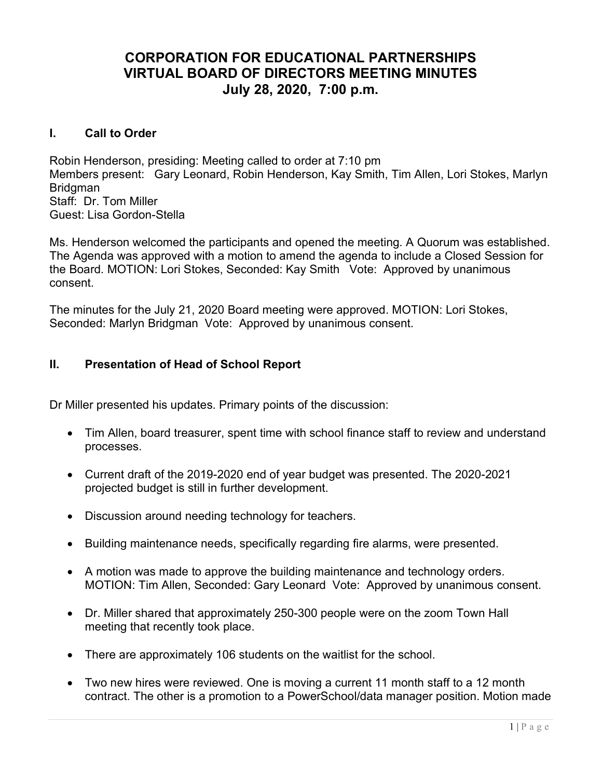# CORPORATION FOR EDUCATIONAL PARTNERSHIPS VIRTUAL BOARD OF DIRECTORS MEETING MINUTES July 28, 2020, 7:00 p.m.

### I. Call to Order

Robin Henderson, presiding: Meeting called to order at 7:10 pm Members present: Gary Leonard, Robin Henderson, Kay Smith, Tim Allen, Lori Stokes, Marlyn Bridgman Staff: Dr. Tom Miller Guest: Lisa Gordon-Stella

Ms. Henderson welcomed the participants and opened the meeting. A Quorum was established. The Agenda was approved with a motion to amend the agenda to include a Closed Session for the Board. MOTION: Lori Stokes, Seconded: Kay Smith Vote: Approved by unanimous consent.

The minutes for the July 21, 2020 Board meeting were approved. MOTION: Lori Stokes, Seconded: Marlyn Bridgman Vote: Approved by unanimous consent.

# II. Presentation of Head of School Report

Dr Miller presented his updates. Primary points of the discussion:

- Tim Allen, board treasurer, spent time with school finance staff to review and understand processes.
- Current draft of the 2019-2020 end of year budget was presented. The 2020-2021 projected budget is still in further development.
- Discussion around needing technology for teachers.
- Building maintenance needs, specifically regarding fire alarms, were presented.
- A motion was made to approve the building maintenance and technology orders. MOTION: Tim Allen, Seconded: Gary Leonard Vote: Approved by unanimous consent.
- Dr. Miller shared that approximately 250-300 people were on the zoom Town Hall meeting that recently took place.
- There are approximately 106 students on the waitlist for the school.
- Two new hires were reviewed. One is moving a current 11 month staff to a 12 month contract. The other is a promotion to a PowerSchool/data manager position. Motion made